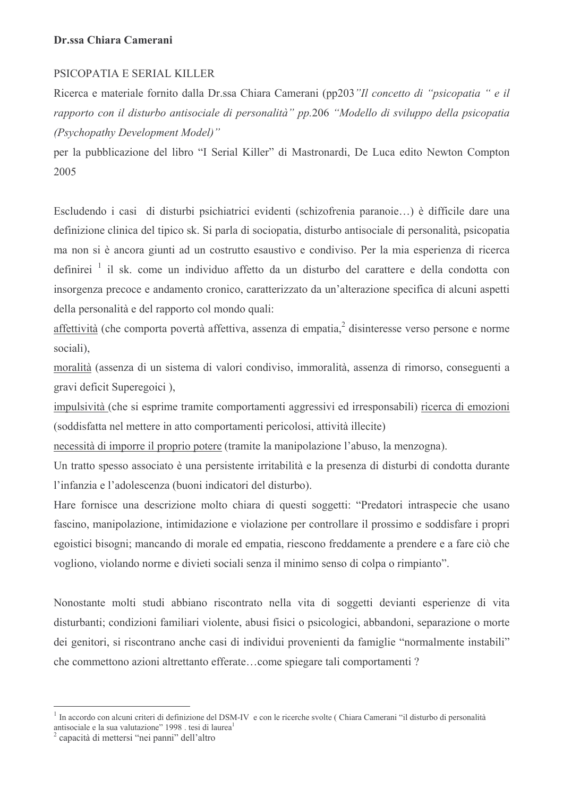# PSICOPATIA E SERIAL KILLER

Ricerca e materiale fornito dalla Dr.ssa Chiara Camerani (pp203"Il concetto di "psicopatia " e il rapporto con il disturbo antisociale di personalità" pp.206 "Modello di sviluppo della psicopatia (Psychopathy Development Model)"

per la pubblicazione del libro "I Serial Killer" di Mastronardi, De Luca edito Newton Compton 2005

Escludendo i casi di disturbi psichiatrici evidenti (schizofrenia paranoie...) è difficile dare una definizione clinica del tipico sk. Si parla di sociopatia, disturbo antisociale di personalità, psicopatia ma non si è ancora giunti ad un costrutto esaustivo e condiviso. Per la mia esperienza di ricerca definirei<sup>1</sup> il sk. come un individuo affetto da un disturbo del carattere e della condotta con insorgenza precoce e andamento cronico, caratterizzato da un'alterazione specifica di alcuni aspetti della personalità e del rapporto col mondo quali:

affettività (che comporta povertà affettiva, assenza di empatia, il disinteresse verso persone e norme sociali).

moralità (assenza di un sistema di valori condiviso, immoralità, assenza di rimorso, conseguenti a gravi deficit Superegoici),

impulsività (che si esprime tramite comportamenti aggressivi ed irresponsabili) ricerca di emozioni (soddisfatta nel mettere in atto comportamenti pericolosi, attività illecite)

necessità di imporre il proprio potere (tramite la manipolazione l'abuso, la menzogna).

Un tratto spesso associato è una persistente irritabilità e la presenza di disturbi di condotta durante l'infanzia e l'adolescenza (buoni indicatori del disturbo).

Hare fornisce una descrizione molto chiara di questi soggetti: "Predatori intraspecie che usano fascino, manipolazione, intimidazione e violazione per controllare il prossimo e soddisfare i propri egoistici bisogni; mancando di morale ed empatia, riescono freddamente a prendere e a fare ciò che vogliono, violando norme e divieti sociali senza il minimo senso di colpa o rimpianto".

Nonostante molti studi abbiano riscontrato nella vita di soggetti devianti esperienze di vita disturbanti; condizioni familiari violente, abusi fisici o psicologici, abbandoni, separazione o morte dei genitori, si riscontrano anche casi di individui provenienti da famiglie "normalmente instabili" che commettono azioni altrettanto efferate...come spiegare tali comportamenti ?

In accordo con alcuni criteri di definizione del DSM-IV e con le ricerche svolte (Chiara Camerani "il disturbo di personalità antisociale e la sua valutazione" 1998 . tesi di laurea<sup>1</sup>

<sup>&</sup>lt;sup>2</sup> capacità di mettersi "nei panni" dell'altro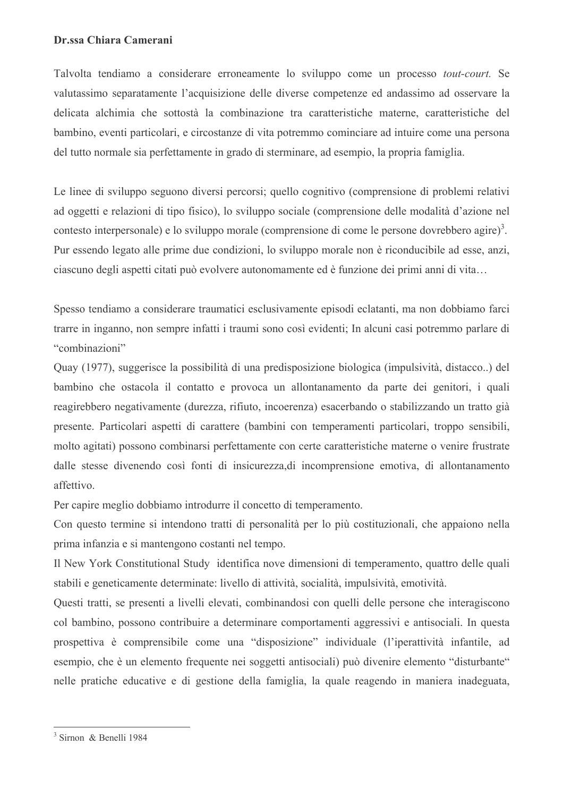Talvolta tendiamo a considerare erroneamente lo sviluppo come un processo *tout-court*. Se valutassimo separatamente l'acquisizione delle diverse competenze ed andassimo ad osservare la delicata alchimia che sottostà la combinazione tra caratteristiche materne, caratteristiche del bambino, eventi particolari, e circostanze di vita potremmo cominciare ad intuire come una persona del tutto normale sia perfettamente in grado di sterminare, ad esempio, la propria famiglia.

Le linee di sviluppo seguono diversi percorsi; quello cognitivo (comprensione di problemi relativi ad oggetti e relazioni di tipo fisico), lo sviluppo sociale (comprensione delle modalità d'azione nel contesto interpersonale) e lo sviluppo morale (comprensione di come le persone dovrebbero agire)<sup>3</sup>. Pur essendo legato alle prime due condizioni, lo sviluppo morale non è riconducibile ad esse, anzi, ciascuno degli aspetti citati può evolvere autonomamente ed è funzione dei primi anni di vita...

Spesso tendiamo a considerare traumatici esclusivamente episodi eclatanti, ma non dobbiamo farci trarre in inganno, non sempre infatti i traumi sono così evidenti; In alcuni casi potremmo parlare di "combinazioni"

Quay (1977), suggerisce la possibilità di una predisposizione biologica (impulsività, distacco..) del bambino che ostacola il contatto e provoca un allontanamento da parte dei genitori, i quali reagirebbero negativamente (durezza, rifiuto, incoerenza) esacerbando o stabilizzando un tratto già presente. Particolari aspetti di carattere (bambini con temperamenti particolari, troppo sensibili, molto agitati) possono combinarsi perfettamente con certe caratteristiche materne o venire frustrate dalle stesse divenendo così fonti di insicurezza, di incomprensione emotiva, di allontanamento affettivo.

Per capire meglio dobbiamo introdurre il concetto di temperamento.

Con questo termine si intendono tratti di personalità per lo più costituzionali, che appaiono nella prima infanzia e si mantengono costanti nel tempo.

Il New York Constitutional Study identifica nove dimensioni di temperamento, quattro delle quali stabili e geneticamente determinate: livello di attività, socialità, impulsività, emotività.

Questi tratti, se presenti a livelli elevati, combinandosi con quelli delle persone che interagiscono col bambino, possono contribuire a determinare comportamenti aggressivi e antisociali. In questa prospettiva è comprensibile come una "disposizione" individuale (l'iperattività infantile, ad esempio, che è un elemento frequente nei soggetti antisociali) può divenire elemento "disturbante" nelle pratiche educative e di gestione della famiglia, la quale reagendo in maniera inadeguata,

 $3$  Sirnon & Benelli 1984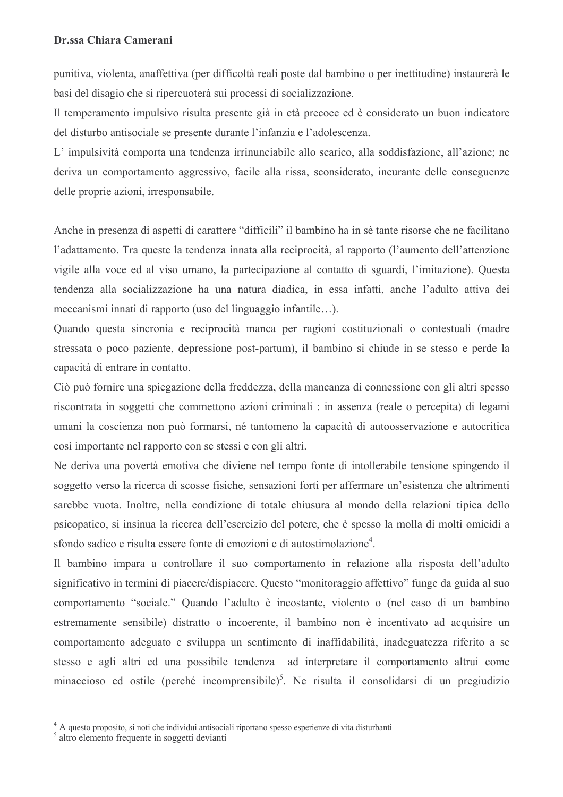punitiva, violenta, anaffettiva (per difficoltà reali poste dal bambino o per inettitudine) instaurerà le basi del disagio che si ripercuoterà sui processi di socializzazione.

Il temperamento impulsivo risulta presente già in età precoce ed è considerato un buon indicatore del disturbo antisociale se presente durante l'infanzia e l'adolescenza.

L'impulsività comporta una tendenza irrinunciabile allo scarico, alla soddisfazione, all'azione; ne deriva un comportamento aggressivo, facile alla rissa, sconsiderato, incurante delle conseguenze delle proprie azioni, irresponsabile.

Anche in presenza di aspetti di carattere "difficili" il bambino ha in sè tante risorse che ne facilitano l'adattamento. Tra queste la tendenza innata alla reciprocità, al rapporto (l'aumento dell'attenzione vigile alla voce ed al viso umano, la partecipazione al contatto di sguardi, l'imitazione). Questa tendenza alla socializzazione ha una natura diadica, in essa infatti, anche l'adulto attiva dei meccanismi innati di rapporto (uso del linguaggio infantile...).

Quando questa sincronia e reciprocità manca per ragioni costituzionali o contestuali (madre stressata o poco paziente, depressione post-partum), il bambino si chiude in se stesso e perde la capacità di entrare in contatto.

Ciò può fornire una spiegazione della freddezza, della mancanza di connessione con gli altri spesso riscontrata in soggetti che commettono azioni criminali : in assenza (reale o percepita) di legami umani la coscienza non può formarsi, né tantomeno la capacità di autoosservazione e autocritica così importante nel rapporto con se stessi e con gli altri.

Ne deriva una povertà emotiva che diviene nel tempo fonte di intollerabile tensione spingendo il soggetto verso la ricerca di scosse fisiche, sensazioni forti per affermare un'esistenza che altrimenti sarebbe vuota. Inoltre, nella condizione di totale chiusura al mondo della relazioni tipica dello psicopatico, si insinua la ricerca dell'esercizio del potere, che è spesso la molla di molti omicidi a sfondo sadico e risulta essere fonte di emozioni e di autostimolazione<sup>4</sup>.

Il bambino impara a controllare il suo comportamento in relazione alla risposta dell'adulto significativo in termini di piacere/dispiacere. Questo "monitoraggio affettivo" funge da guida al suo comportamento "sociale." Quando l'adulto è incostante, violento o (nel caso di un bambino estremamente sensibile) distratto o incoerente, il bambino non è incentivato ad acquisire un comportamento adeguato e sviluppa un sentimento di inaffidabilità, inadeguatezza riferito a se stesso e agli altri ed una possibile tendenza ad interpretare il comportamento altrui come minaccioso ed ostile (perché incomprensibile)<sup>5</sup>. Ne risulta il consolidarsi di un pregiudizio

<sup>&</sup>lt;sup>4</sup> A questo proposito, si noti che individui antisociali riportano spesso esperienze di vita disturbanti

<sup>&</sup>lt;sup>5</sup> altro elemento frequente in soggetti devianti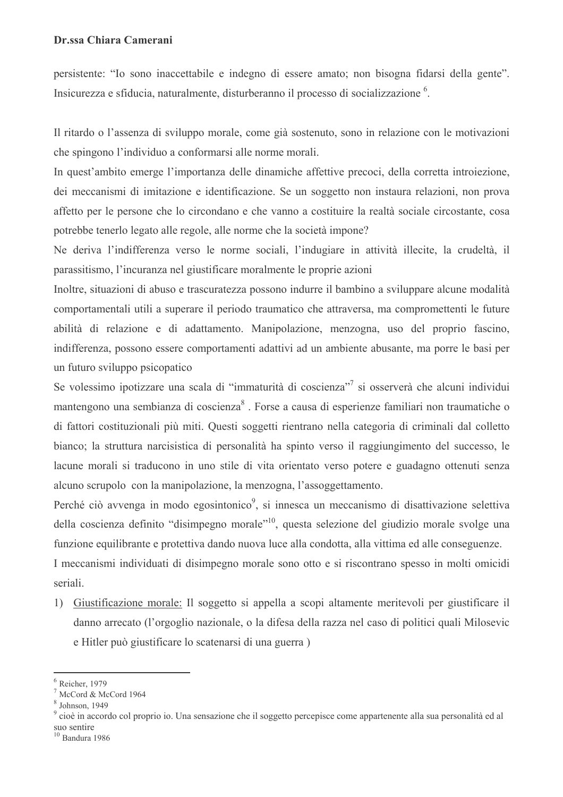persistente: "Io sono inaccettabile e indegno di essere amato; non bisogna fidarsi della gente". Insicurezza e sfiducia, naturalmente, disturberanno il processo di socializzazione<sup>6</sup>.

Il ritardo o l'assenza di sviluppo morale, come già sostenuto, sono in relazione con le motivazioni che spingono l'individuo a conformarsi alle norme morali.

In quest'ambito emerge l'importanza delle dinamiche affettive precoci, della corretta introjezione, dei meccanismi di imitazione e identificazione. Se un soggetto non instaura relazioni, non prova affetto per le persone che lo circondano e che vanno a costituire la realtà sociale circostante, cosa potrebbe tenerlo legato alle regole, alle norme che la società impone?

Ne deriva l'indifferenza verso le norme sociali, l'indugiare in attività illecite, la crudeltà, il parassitismo, l'incuranza nel giustificare moralmente le proprie azioni

Inoltre, situazioni di abuso e trascuratezza possono indurre il bambino a sviluppare alcune modalità comportamentali utili a superare il periodo traumatico che attraversa, ma compromettenti le future abilità di relazione e di adattamento. Manipolazione, menzogna, uso del proprio fascino, indifferenza, possono essere comportamenti adattivi ad un ambiente abusante, ma porre le basi per un futuro sviluppo psicopatico

Se volessimo ipotizzare una scala di "immaturità di coscienza"<sup>7</sup> si osserverà che alcuni individui mantengono una sembianza di coscienza<sup>8</sup>. Forse a causa di esperienze familiari non traumatiche o di fattori costituzionali più miti. Questi soggetti rientrano nella categoria di criminali dal colletto bianco; la struttura narcisistica di personalità ha spinto verso il raggiungimento del successo, le lacune morali si traducono in uno stile di vita orientato verso potere e guadagno ottenuti senza alcuno scrupolo con la manipolazione, la menzogna, l'assoggettamento.

Perché ciò avvenga in modo egosintonico<sup>9</sup>, si innesca un meccanismo di disattivazione selettiva della coscienza definito "disimpegno morale"<sup>10</sup>, questa selezione del giudizio morale svolge una funzione equilibrante e protettiva dando nuova luce alla condotta, alla vittima ed alle conseguenze.

I meccanismi individuati di disimpegno morale sono otto e si riscontrano spesso in molti omicidi seriali.

1) Giustificazione morale: Il soggetto si appella a scopi altamente meritevoli per giustificare il danno arrecato (l'orgoglio nazionale, o la difesa della razza nel caso di politici quali Milosevic e Hitler può giustificare lo scatenarsi di una guerra)

 $6$  Reicher, 1979

McCord & McCord 1964

 $8$  Johnson, 1949

cioè in accordo col proprio io. Una sensazione che il soggetto percepisce come appartenente alla sua personalità ed al suo sentire

 $^{\rm 10}$  Bandura 1986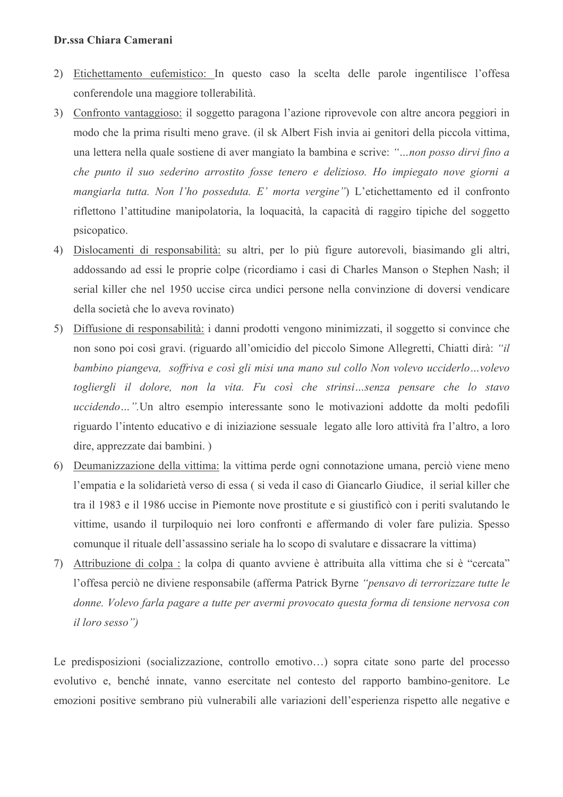- 2) Etichettamento eufemistico: In questo caso la scelta delle parole ingentilisce l'offesa conferendole una maggiore tollerabilità.
- 3) Confronto vantaggioso: il soggetto paragona l'azione riprovevole con altre ancora peggiori in modo che la prima risulti meno grave. (il sk Albert Fish invia ai genitori della piccola vittima, una lettera nella quale sostiene di aver mangiato la bambina e scrive: "...non posso dirvi fino a che punto il suo sederino arrostito fosse tenero e delizioso. Ho impiegato nove giorni a mangiarla tutta. Non l'ho posseduta. E' morta vergine") L'etichettamento ed il confronto riflettono l'attitudine manipolatoria, la loquacità, la capacità di raggiro tipiche del soggetto psicopatico.
- 4) Dislocamenti di responsabilità: su altri, per lo più figure autorevoli, biasimando gli altri, addossando ad essi le proprie colpe (ricordiamo i casi di Charles Manson o Stephen Nash; il serial killer che nel 1950 uccise circa undici persone nella convinzione di doversi vendicare della società che lo aveva rovinato)
- 5) Diffusione di responsabilità: i danni prodotti vengono minimizzati, il soggetto si convince che non sono poi così gravi. (riguardo all'omicidio del piccolo Simone Allegretti, Chiatti dirà: "il bambino piangeva, soffriva e così gli misi una mano sul collo Non volevo ucciderlo...volevo togliergli il dolore, non la vita. Fu così che strinsi...senza pensare che lo stavo uccidendo...".Un altro esempio interessante sono le motivazioni addotte da molti pedofili riguardo l'intento educativo e di iniziazione sessuale legato alle loro attività fra l'altro, a loro dire, apprezzate dai bambini.)
- 6) Deumanizzazione della vittima: la vittima perde ogni connotazione umana, perciò viene meno l'empatia e la solidarietà verso di essa (si veda il caso di Giancarlo Giudice, il serial killer che tra il 1983 e il 1986 uccise in Piemonte nove prostitute e si giustificò con i periti svalutando le vittime, usando il turpiloguio nei loro confronti e affermando di voler fare pulizia. Spesso comunque il rituale dell'assassino seriale ha lo scopo di svalutare e dissacrare la vittima)
- 7) Attribuzione di colpa : la colpa di quanto avviene è attribuita alla vittima che si è "cercata" l'offesa perciò ne diviene responsabile (afferma Patrick Byrne "pensavo di terrorizzare tutte le donne. Volevo farla pagare a tutte per avermi provocato questa forma di tensione nervosa con *il loro sesso"*)

Le predisposizioni (socializzazione, controllo emotivo...) sopra citate sono parte del processo evolutivo e, benché innate, vanno esercitate nel contesto del rapporto bambino-genitore. Le emozioni positive sembrano più vulnerabili alle variazioni dell'esperienza rispetto alle negative e